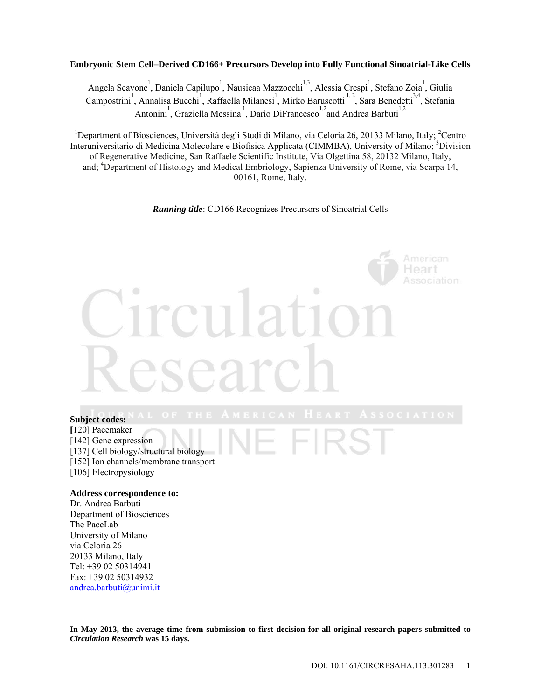## **Embryonic Stem Cell–Derived CD166+ Precursors Develop into Fully Functional Sinoatrial-Like Cells**

Angela Scavone<sup>1</sup>, Daniela Capilupo<sup>1</sup>, Nausicaa Mazzocchi<sup>1,3</sup>, Alessia Crespi<sup>1</sup>, Stefano Zoia<sup>1</sup>, Giulia Campostrini<sup>1</sup>, Annalisa Bucchi<sup>1</sup>, Raffaella Milanesi<sup>1</sup>, Mirko Baruscotti<sup>1,2</sup>, Sara Benedetti<sup>34</sup>, Stefania Antonini, Graziella Messina<sup>1</sup>, Dario DiFrancesco<sup>1,2</sup> and Andrea Barbuti<sup>1,2</sup>

<sup>1</sup>Department of Biosciences, Università degli Studi di Milano, via Celoria 26, 20133 Milano, Italy; <sup>2</sup>Centro Interuniversitario di Medicina Molecolare e Biofisica Applicata (CIMMBA), University of Milano; <sup>3</sup>Division of Regenerative Medicine, San Raffaele Scientific Institute, Via Olgettina 58, 20132 Milano, Italy, and; <sup>4</sup>Department of Histology and Medical Embriology, Sapienza University of Rome, via Scarpa 14, 00161, Rome, Italy.

*Running title*: CD166 Recognizes Precursors of Sinoatrial Cells

## **Subject codes: [**120] Pacemaker

- [142] Gene expression
- [137] Cell biology/structural biology
- [152] Ion channels/membrane transport
- [106] Electropysiology

#### **Address correspondence to:**

Dr. Andrea Barbuti Department of Biosciences The PaceLab University of Milano via Celoria 26 20133 Milano, Italy Tel: +39 02 50314941 Fax: +39 02 50314932 andrea.barbuti@unimi.it

**In May 2013, the average time from submission to first decision for all original research papers submitted to**  *Circulation Research* **was 15 days.**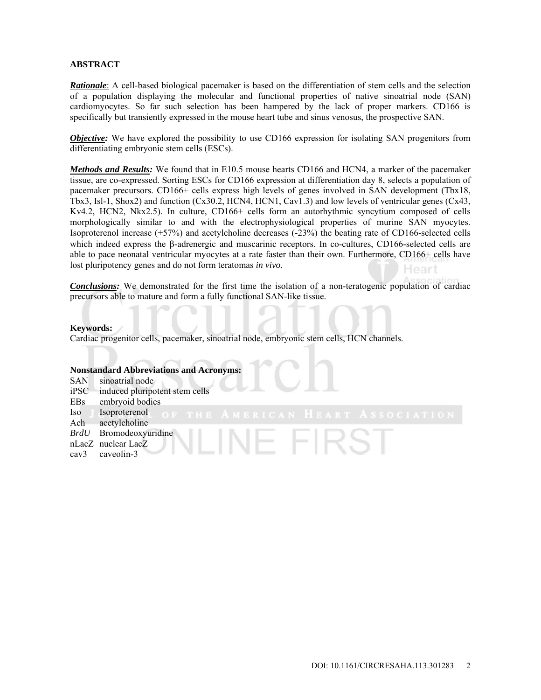# **ABSTRACT**

*Rationale*: A cell-based biological pacemaker is based on the differentiation of stem cells and the selection of a population displaying the molecular and functional properties of native sinoatrial node (SAN) cardiomyocytes. So far such selection has been hampered by the lack of proper markers. CD166 is specifically but transiently expressed in the mouse heart tube and sinus venosus, the prospective SAN.

*Objective:* We have explored the possibility to use CD166 expression for isolating SAN progenitors from differentiating embryonic stem cells (ESCs).

*Methods and Results:* We found that in E10.5 mouse hearts CD166 and HCN4, a marker of the pacemaker tissue, are co-expressed. Sorting ESCs for CD166 expression at differentiation day 8, selects a population of pacemaker precursors. CD166+ cells express high levels of genes involved in SAN development (Tbx18, Tbx3, Isl-1, Shox2) and function (Cx30.2, HCN4, HCN1, Cav1.3) and low levels of ventricular genes (Cx43, Kv4.2, HCN2, Nkx2.5). In culture, CD166+ cells form an autorhythmic syncytium composed of cells morphologically similar to and with the electrophysiological properties of murine SAN myocytes. Isoproterenol increase (+57%) and acetylcholine decreases (-23%) the beating rate of CD166-selected cells which indeed express the  $\beta$ -adrenergic and muscarinic receptors. In co-cultures, CD166-selected cells are able to pace neonatal ventricular myocytes at a rate faster than their own. Furthermore, CD166+ cells have lost pluripotency genes and do not form teratomas *in vivo*. Heart

*Conclusions:* We demonstrated for the first time the isolation of a non-teratogenic population of cardiac precursors able to mature and form a fully functional SAN-like tissue.

### **Keywords:**

Cardiac progenitor cells, pacemaker, sinoatrial node, embryonic stem cells, HCN channels.

# **Nonstandard Abbreviations and Acronyms:**

- SAN sinoatrial node iPSC induced pluripotent stem cells EBs embryoid bodies Iso Isoproterenol Ach acetylcholine
- *BrdU* Bromodeoxyuridine
- nLacZ nuclear LacZ
- cav3 caveolin-3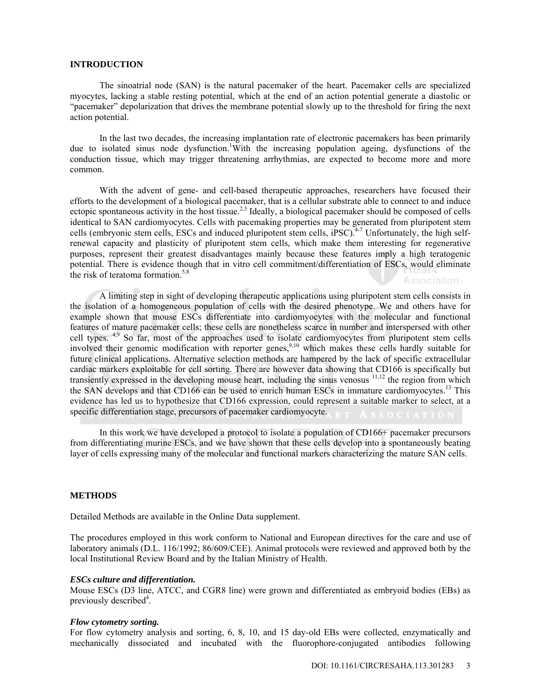### **INTRODUCTION**

The sinoatrial node (SAN) is the natural pacemaker of the heart. Pacemaker cells are specialized myocytes, lacking a stable resting potential, which at the end of an action potential generate a diastolic or "pacemaker" depolarization that drives the membrane potential slowly up to the threshold for firing the next action potential.

In the last two decades, the increasing implantation rate of electronic pacemakers has been primarily due to isolated sinus node dysfunction.<sup>1</sup>With the increasing population ageing, dysfunctions of the conduction tissue, which may trigger threatening arrhythmias, are expected to become more and more common.

With the advent of gene- and cell-based therapeutic approaches, researchers have focused their efforts to the development of a biological pacemaker, that is a cellular substrate able to connect to and induce ectopic spontaneous activity in the host tissue.<sup>2,3</sup> Ideally, a biological pacemaker should be composed of cells identical to SAN cardiomyocytes. Cells with pacemaking properties may be generated from pluripotent stem cells (embryonic stem cells, ESCs and induced pluripotent stem cells, iPSC).<sup>4-7</sup> Unfortunately, the high selfrenewal capacity and plasticity of pluripotent stem cells, which make them interesting for regenerative purposes, represent their greatest disadvantages mainly because these features imply a high teratogenic potential. There is evidence though that in vitro cell commitment/differentiation of ESCs, would eliminate the risk of teratoma formation.<sup>5,8</sup> Association

A limiting step in sight of developing therapeutic applications using pluripotent stem cells consists in the isolation of a homogeneous population of cells with the desired phenotype. We and others have for example shown that mouse ESCs differentiate into cardiomyocytes with the molecular and functional features of mature pacemaker cells; these cells are nonetheless scarce in number and interspersed with other cell types. <sup>4,9</sup> So far, most of the approaches used to isolate cardiomyocytes from pluripotent stem cells involved their genomic modification with reporter genes,<sup>9,10</sup> which makes these cells hardly suitable for future clinical applications. Alternative selection methods are hampered by the lack of specific extracellular cardiac markers exploitable for cell sorting. There are however data showing that CD166 is specifically but transiently expressed in the developing mouse heart, including the sinus venosus <sup>11,12</sup> the region from which the SAN develops and that CD166 can be used to enrich human ESCs in immature cardiomyocytes.<sup>13</sup> This evidence has led us to hypothesize that CD166 expression, could represent a suitable marker to select, at a specific differentiation stage, precursors of pacemaker cardiomyocyte.

In this work we have developed a protocol to isolate a population of CD166+ pacemaker precursors from differentiating murine ESCs, and we have shown that these cells develop into a spontaneously beating layer of cells expressing many of the molecular and functional markers characterizing the mature SAN cells.

#### **METHODS**

Detailed Methods are available in the Online Data supplement.

The procedures employed in this work conform to National and European directives for the care and use of laboratory animals (D.L. 116/1992; 86/609/CEE). Animal protocols were reviewed and approved both by the local Institutional Review Board and by the Italian Ministry of Health.

#### *ESCs culture and differentiation.*

Mouse ESCs (D3 line, ATCC, and CGR8 line) were grown and differentiated as embryoid bodies (EBs) as previously described<sup>4</sup>.

#### *Flow cytometry sorting.*

For flow cytometry analysis and sorting, 6, 8, 10, and 15 day-old EBs were collected, enzymatically and mechanically dissociated and incubated with the fluorophore-conjugated antibodies following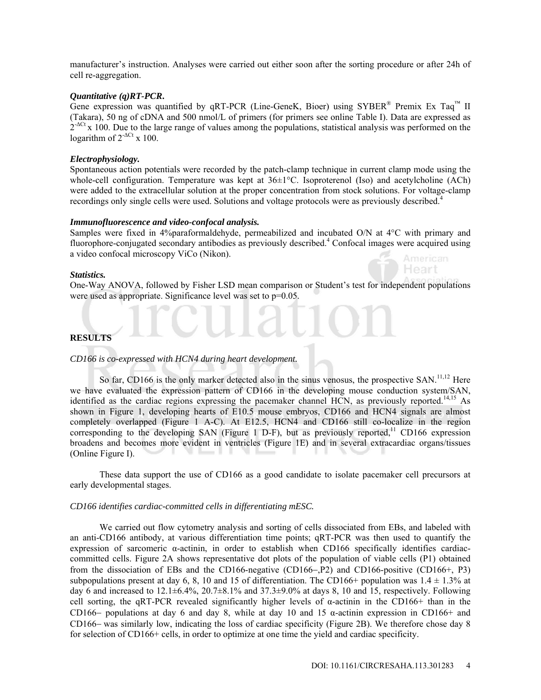manufacturer's instruction. Analyses were carried out either soon after the sorting procedure or after 24h of cell re-aggregation.

### *Quantitative (q)RT-PCR***.**

Gene expression was quantified by qRT-PCR (Line-GeneK, Bioer) using SYBER<sup>®</sup> Premix Ex Taq<sup>™</sup> II (Takara), 50 ng of cDNA and 500 nmol/L of primers (for primers see online Table I). Data are expressed as  $2<sup>ACt</sup>$  x 100. Due to the large range of values among the populations, statistical analysis was performed on the logarithm of  $2^{-\Delta Ct}$  x 100.

# *Electrophysiology.*

Spontaneous action potentials were recorded by the patch-clamp technique in current clamp mode using the whole-cell configuration. Temperature was kept at  $36\pm1^{\circ}$ C. Isoproterenol (Iso) and acetylcholine (ACh) were added to the extracellular solution at the proper concentration from stock solutions. For voltage-clamp recordings only single cells were used. Solutions and voltage protocols were as previously described.<sup>4</sup>

### *Immunofluorescence and video-confocal analysis.*

Samples were fixed in 4%paraformaldehyde, permeabilized and incubated O/N at 4°C with primary and fluorophore-conjugated secondary antibodies as previously described.<sup>4</sup> Confocal images were acquired using a video confocal microscopy ViCo (Nikon). American

#### *Statistics.*

One-Way ANOVA, followed by Fisher LSD mean comparison or Student's test for independent populations were used as appropriate. Significance level was set to  $p=0.05$ .

# **RESULTS**

## *CD166 is co-expressed with HCN4 during heart development.*

So far, CD166 is the only marker detected also in the sinus venosus, the prospective SAN.<sup>11,12</sup> Here we have evaluated the expression pattern of CD166 in the developing mouse conduction system/SAN, identified as the cardiac regions expressing the pacemaker channel HCN, as previously reported.<sup>14,15</sup> As shown in Figure 1, developing hearts of E10.5 mouse embryos, CD166 and HCN4 signals are almost completely overlapped (Figure 1 A-C). At E12.5, HCN4 and CD166 still co-localize in the region corresponding to the developing SAN (Figure 1 D-F), but as previously reported,<sup>11</sup> CD166 expression broadens and becomes more evident in ventricles (Figure 1E) and in several extracardiac organs/tissues (Online Figure I).

These data support the use of CD166 as a good candidate to isolate pacemaker cell precursors at early developmental stages.

#### *CD166 identifies cardiac-committed cells in differentiating mESC.*

We carried out flow cytometry analysis and sorting of cells dissociated from EBs, and labeled with an anti-CD166 antibody, at various differentiation time points; qRT-PCR was then used to quantify the expression of sarcomeric α-actinin, in order to establish when CD166 specifically identifies cardiaccommitted cells. Figure 2A shows representative dot plots of the population of viable cells (P1) obtained from the dissociation of EBs and the CD166-negative (CD166-, P2) and CD166-positive (CD166+, P3) subpopulations present at day 6, 8, 10 and 15 of differentiation. The CD166+ population was  $1.4 \pm 1.3\%$  at day 6 and increased to  $12.1\pm6.4\%$ ,  $20.7\pm8.1\%$  and  $37.3\pm9.0\%$  at days 8, 10 and 15, respectively. Following cell sorting, the qRT-PCR revealed significantly higher levels of  $\alpha$ -actinin in the CD166+ than in the CD166- populations at day 6 and day 8, while at day 10 and 15  $\alpha$ -actinin expression in CD166+ and CD166– was similarly low, indicating the loss of cardiac specificity (Figure 2B). We therefore chose day 8 for selection of CD166+ cells, in order to optimize at one time the yield and cardiac specificity.

Heart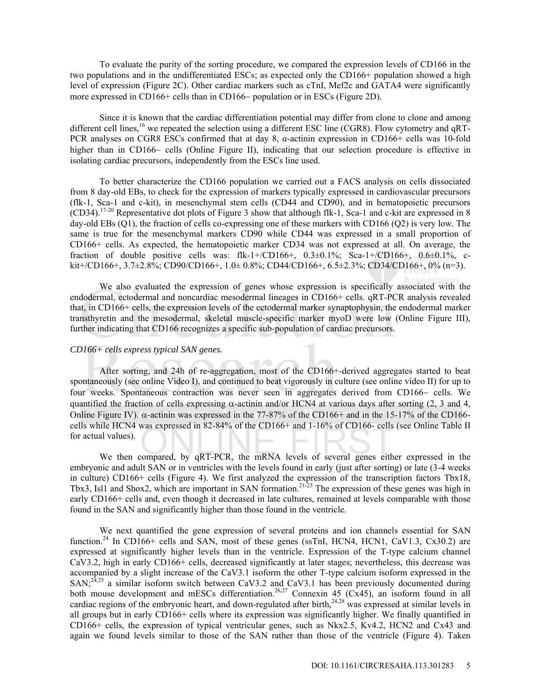To evaluate the purity of the sorting procedure, we compared the expression levels of CD166 in the two populations and in the undifferentiated ESCs; as expected only the CD166+ population showed a high level of expression (Figure 2C). Other cardiac markers such as cTnI, Mef2c and GATA4 were significantly more expressed in CD166+ cells than in CD166- population or in ESCs (Figure 2D).

Since it is known that the cardiac differentiation potential may differ from clone to clone and among different cell lines,<sup>16</sup> we repeated the selection using a different ESC line (CGR8). Flow cytometry and qRT-PCR analyses on CGR8 ESCs confirmed that at day 8, α-actinin expression in CD166+ cells was 10-fold higher than in CD166– cells (Online Figure II), indicating that our selection procedure is effective in isolating cardiac precursors, independently from the ESCs line used.

To better characterize the CD166 population we carried out a FACS analysis on cells dissociated from 8 day-old EBs, to check for the expression of markers typically expressed in cardiovascular precursors (flk-1, Sca-1 and c-kit), in mesenchymal stem cells (CD44 and CD90), and in hematopoietic precursors  $(CD34).$ <sup>17-20</sup> Representative dot plots of Figure 3 show that although flk-1, Sca-1 and c-kit are expressed in 8 day-old EBs (Q1), the fraction of cells co-expressing one of these markers with CD166 (Q2) is very low. The same is true for the mesenchymal markers CD90 while CD44 was expressed in a small proportion of CD166+ cells. As expected, the hematopoietic marker CD34 was not expressed at all. On average, the fraction of double positive cells was: flk-1+/CD166+,  $0.3\pm0.1\%$ ; Sca-1+/CD166+,  $0.6\pm0.1\%$ , ckit+/CD166+, 3.7 $\pm$ 2.8%; CD90/CD166+, 1.0 $\pm$  0.8%; CD44/CD166+, 6.5 $\pm$ 2.3%; CD34/CD166+, 0% (n=3).

We also evaluated the expression of genes whose expression is specifically associated with the endodermal, ectodermal and noncardiac mesodermal lineages in CD166+ cells. qRT-PCR analysis revealed that, in CD166+ cells, the expression levels of the ectodermal marker synaptophysin, the endodermal marker transthyretin and the mesodermal, skeletal muscle-specific marker myoD were low (Online Figure III), further indicating that CD166 recognizes a specific sub-population of cardiac precursors.

### *CD166+ cells express typical SAN genes.*

After sorting, and 24h of re-aggregation, most of the CD166+-derived aggregates started to beat spontaneously (see online Video I), and continued to beat vigorously in culture (see online video II) for up to four weeks. Spontaneous contraction was never seen in aggregates derived from CD166- cells. We quantified the fraction of cells expressing  $\alpha$ -actinin and/or HCN4 at various days after sorting (2, 3 and 4, Online Figure IV).  $\alpha$ -actinin was expressed in the 77-87% of the CD166+ and in the 15-17% of the CD166cells while HCN4 was expressed in 82-84% of the CD166+ and 1-16% of CD166- cells (see Online Table II for actual values).

We then compared, by qRT-PCR, the mRNA levels of several genes either expressed in the embryonic and adult SAN or in ventricles with the levels found in early (just after sorting) or late (3-4 weeks in culture) CD166+ cells (Figure 4). We first analyzed the expression of the transcription factors Tbx18, Tbx3, Isl1 and Shox2, which are important in SAN formation.<sup>21-23</sup> The expression of these genes was high in early CD166+ cells and, even though it decreased in late cultures, remained at levels comparable with those found in the SAN and significantly higher than those found in the ventricle.

We next quantified the gene expression of several proteins and ion channels essential for SAN function.<sup>24</sup> In CD166+ cells and SAN, most of these genes (ssTnI, HCN4, HCN1, CaV1.3, Cx30.2) are expressed at significantly higher levels than in the ventricle. Expression of the T-type calcium channel CaV3.2, high in early CD166+ cells, decreased significantly at later stages; nevertheless, this decrease was accompanied by a slight increase of the CaV3.1 isoform the other T-type calcium isoform expressed in the SAN;<sup>24,25</sup> a similar isoform switch between CaV3.2 and CaV3.1 has been previously documented during both mouse development and mESCs differentiation.<sup>26,27</sup> Connexin 45 (Cx45), an isoform found in all cardiac regions of the embryonic heart, and down-regulated after birth, $24,28$  was expressed at similar levels in all groups but in early CD166+ cells where its expression was significantly higher. We finally quantified in CD166+ cells, the expression of typical ventricular genes, such as Nkx2.5, Kv4.2, HCN2 and Cx43 and again we found levels similar to those of the SAN rather than those of the ventricle (Figure 4). Taken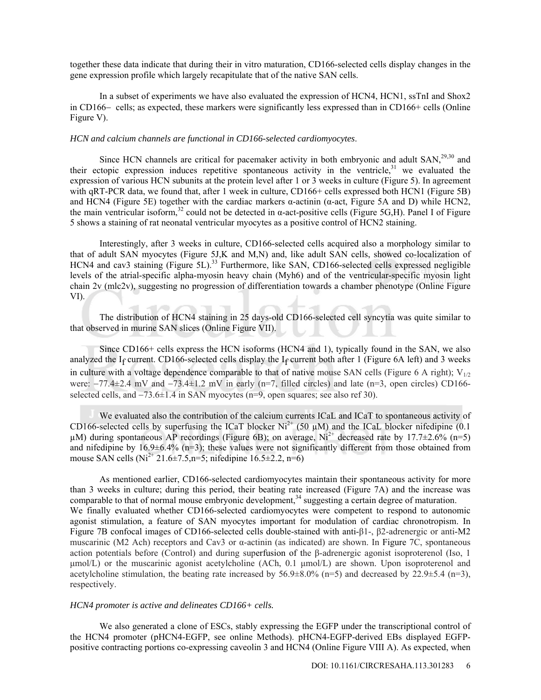together these data indicate that during their in vitro maturation, CD166-selected cells display changes in the gene expression profile which largely recapitulate that of the native SAN cells.

In a subset of experiments we have also evaluated the expression of HCN4, HCN1, ssTnI and Shox2 in  $CD166-$  cells; as expected, these markers were significantly less expressed than in  $CD166+$  cells (Online Figure V).

#### *HCN and calcium channels are functional in CD166-selected cardiomyocytes*.

Since HCN channels are critical for pacemaker activity in both embryonic and adult SAN,<sup>29,30</sup> and their ectopic expression induces repetitive spontaneous activity in the ventricle,  $31$  we evaluated the expression of various HCN subunits at the protein level after 1 or 3 weeks in culture (Figure 5). In agreement with qRT-PCR data, we found that, after 1 week in culture, CD166+ cells expressed both HCN1 (Figure 5B) and HCN4 (Figure 5E) together with the cardiac markers  $\alpha$ -actinin ( $\alpha$ -act, Figure 5A and D) while HCN2, the main ventricular isoform,<sup>32</sup> could not be detected in  $\alpha$ -act-positive cells (Figure 5G,H). Panel I of Figure 5 shows a staining of rat neonatal ventricular myocytes as a positive control of HCN2 staining.

Interestingly, after 3 weeks in culture, CD166-selected cells acquired also a morphology similar to that of adult SAN myocytes (Figure 5J,K and M,N) and, like adult SAN cells, showed co-localization of HCN4 and cav3 staining (Figure 5L).<sup>33</sup> Furthermore, like SAN, CD166-selected cells expressed negligible levels of the atrial-specific alpha-myosin heavy chain (Myh6) and of the ventricular-specific myosin light chain 2v (mlc2v), suggesting no progression of differentiation towards a chamber phenotype (Online Figure VI).

The distribution of HCN4 staining in 25 days-old CD166-selected cell syncytia was quite similar to that observed in murine SAN slices (Online Figure VII).

Since CD166+ cells express the HCN isoforms (HCN4 and 1), typically found in the SAN, we also analyzed the I<sub>f</sub> current. CD166-selected cells display the I<sub>f</sub> current both after 1 (Figure 6A left) and 3 weeks in culture with a voltage dependence comparable to that of native mouse SAN cells (Figure 6 A right);  $V_{1/2}$ were:  $-77.4\pm2.4$  mV and  $-73.4\pm1.2$  mV in early (n=7, filled circles) and late (n=3, open circles) CD166selected cells, and  $-73.6\pm1.4$  in SAN myocytes (n=9, open squares; see also ref 30).

We evaluated also the contribution of the calcium currents ICaL and ICaT to spontaneous activity of CD166-selected cells by superfusing the ICaT blocker Ni<sup>2+</sup> (50  $\mu$ M) and the ICaL blocker nifedipine (0.1)  $\mu$ M) during spontaneous AP recordings (Figure 6B); on average, Ni<sup>2+</sup> decreased rate by 17.7 $\pm$ 2.6% (n=5) and nifedipine by  $16.9\pm6.4\%$  (n=3); these values were not significantly different from those obtained from mouse SAN cells (Ni<sup>2+</sup> 21.6±7.5,n=5; nifedipine 16.5±2.2, n=6)

As mentioned earlier, CD166-selected cardiomyocytes maintain their spontaneous activity for more than 3 weeks in culture; during this period, their beating rate increased (Figure 7A) and the increase was comparable to that of normal mouse embryonic development,<sup>34</sup> suggesting a certain degree of maturation. We finally evaluated whether CD166-selected cardiomyocytes were competent to respond to autonomic agonist stimulation, a feature of SAN myocytes important for modulation of cardiac chronotropism. In Figure 7B confocal images of CD166-selected cells double-stained with anti-β1-, β2-adrenergic or anti-M2 muscarinic (M2 Ach) receptors and Cav3 or  $\alpha$ -actinin (as indicated) are shown. In Figure 7C, spontaneous action potentials before (Control) and during superfusion of the β-adrenergic agonist isoproterenol (Iso, 1  $\mu$ mol/L) or the muscarinic agonist acetylcholine (ACh, 0.1  $\mu$ mol/L) are shown. Upon isoproterenol and acetylcholine stimulation, the beating rate increased by  $56.9\pm8.0\%$  (n=5) and decreased by  $22.9\pm5.4$  (n=3), respectively.

#### *HCN4 promoter is active and delineates CD166+ cells.*

We also generated a clone of ESCs, stably expressing the EGFP under the transcriptional control of the HCN4 promoter (pHCN4-EGFP, see online Methods). pHCN4-EGFP-derived EBs displayed EGFPpositive contracting portions co-expressing caveolin 3 and HCN4 (Online Figure VIII A). As expected, when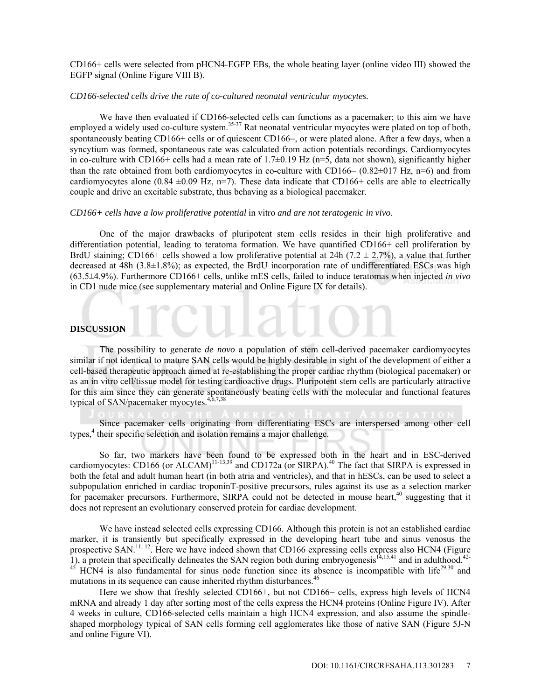CD166+ cells were selected from pHCN4-EGFP EBs, the whole beating layer (online video III) showed the EGFP signal (Online Figure VIII B).

#### *CD166-selected cells drive the rate of co-cultured neonatal ventricular myocytes.*

We have then evaluated if CD166-selected cells can functions as a pacemaker; to this aim we have employed a widely used co-culture system.<sup>35-37</sup> Rat neonatal ventricular myocytes were plated on top of both, spontaneously beating CD166+ cells or of quiescent CD166-, or were plated alone. After a few days, when a syncytium was formed, spontaneous rate was calculated from action potentials recordings. Cardiomyocytes in co-culture with CD166+ cells had a mean rate of  $1.7\pm0.19$  Hz (n=5, data not shown), significantly higher than the rate obtained from both cardiomyocytes in co-culture with CD166–  $(0.82\pm0.17 \text{ Hz}, \text{ n=6})$  and from cardiomyocytes alone (0.84  $\pm$ 0.09 Hz, n=7). These data indicate that CD166+ cells are able to electrically couple and drive an excitable substrate, thus behaving as a biological pacemaker.

### *CD166+ cells have a low proliferative potential* in vitro *and are not teratogenic in vivo.*

One of the major drawbacks of pluripotent stem cells resides in their high proliferative and differentiation potential, leading to teratoma formation. We have quantified CD166+ cell proliferation by BrdU staining; CD166+ cells showed a low proliferative potential at 24h (7.2  $\pm$  2.7%), a value that further decreased at 48h (3.8±1.8%); as expected, the BrdU incorporation rate of undifferentiated ESCs was high (63.5±4.9%). Furthermore CD166+ cells, unlike mES cells, failed to induce teratomas when injected *in vivo* in CD1 nude mice (see supplementary material and Online Figure IX for details).

#### **DISCUSSION**

The possibility to generate *de novo* a population of stem cell-derived pacemaker cardiomyocytes similar if not identical to mature SAN cells would be highly desirable in sight of the development of either a cell-based therapeutic approach aimed at re-establishing the proper cardiac rhythm (biological pacemaker) or as an in vitro cell/tissue model for testing cardioactive drugs. Pluripotent stem cells are particularly attractive for this aim since they can generate spontaneously beating cells with the molecular and functional features typical of SAN/pacemaker myocytes. $4$ 

Since pacemaker cells originating from differentiating ESCs are interspersed among other cell types,<sup>4</sup> their specific selection and isolation remains a major challenge.

So far, two markers have been found to be expressed both in the heart and in ESC-derived cardiomyocytes: CD166 (or ALCAM)<sup>11-13,39</sup> and CD172a (or SIRPA).<sup>40</sup> The fact that SIRPA is expressed in both the fetal and adult human heart (in both atria and ventricles), and that in hESCs, can be used to select a subpopulation enriched in cardiac troponinT-positive precursors, rules against its use as a selection marker for pacemaker precursors. Furthermore, SIRPA could not be detected in mouse heart,<sup>40</sup> suggesting that it does not represent an evolutionary conserved protein for cardiac development.

We have instead selected cells expressing CD166. Although this protein is not an established cardiac marker, it is transiently but specifically expressed in the developing heart tube and sinus venosus the prospective SAN.<sup>11, 12</sup>. Here we have indeed shown that CD166 expressing cells express also HCN4 (Figure 1), a protein that specifically delineates the SAN region both during embryogenesis<sup>14,15,41</sup> and in adulthood.<sup>42-</sup>  $^{45}$  HCN4 is also fundamental for sinus node function since its absence is incompatible with life<sup>29,30</sup> and mutations in its sequence can cause inherited rhythm disturbances.<sup>46</sup>

Here we show that freshly selected CD166+, but not CD166– cells, express high levels of HCN4 mRNA and already 1 day after sorting most of the cells express the HCN4 proteins (Online Figure IV). After 4 weeks in culture, CD166-selected cells maintain a high HCN4 expression, and also assume the spindleshaped morphology typical of SAN cells forming cell agglomerates like those of native SAN (Figure 5J-N and online Figure VI).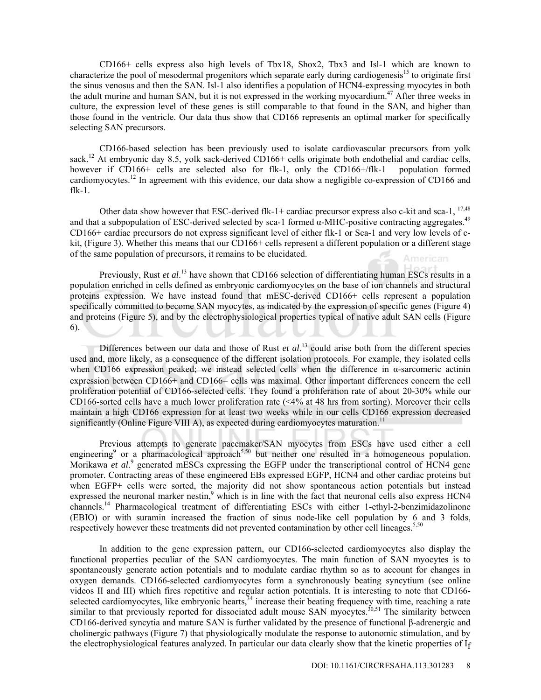CD166+ cells express also high levels of Tbx18, Shox2, Tbx3 and Isl-1 which are known to characterize the pool of mesodermal progenitors which separate early during cardiogenesis<sup>15</sup> to originate first the sinus venosus and then the SAN. Isl-1 also identifies a population of HCN4-expressing myocytes in both the adult murine and human SAN, but it is not expressed in the working myocardium.<sup>47</sup> After three weeks in culture, the expression level of these genes is still comparable to that found in the SAN, and higher than those found in the ventricle. Our data thus show that CD166 represents an optimal marker for specifically selecting SAN precursors.

 CD166-based selection has been previously used to isolate cardiovascular precursors from yolk sack.<sup>12</sup> At embryonic day 8.5, yolk sack-derived CD166+ cells originate both endothelial and cardiac cells, however if CD166+ cells are selected also for flk-1, only the CD166+/flk-1 population formed cardiomyocytes.12 In agreement with this evidence, our data show a negligible co-expression of CD166 and  $f$ lk-1.

Other data show however that ESC-derived flk-1+ cardiac precursor express also c-kit and sca-1,  $^{17,48}$ and that a subpopulation of ESC-derived selected by sca-1 formed  $\alpha$ -MHC-positive contracting aggregates.<sup>49</sup> CD166+ cardiac precursors do not express significant level of either flk-1 or Sca-1 and very low levels of ckit, (Figure 3). Whether this means that our CD166+ cells represent a different population or a different stage of the same population of precursors, it remains to be elucidated. Americani

Previously, Rust *et al.*<sup>13</sup> have shown that CD166 selection of differentiating human ESCs results in a population enriched in cells defined as embryonic cardiomyocytes on the base of ion channels and structural proteins expression. We have instead found that mESC-derived CD166+ cells represent a population specifically committed to become SAN myocytes, as indicated by the expression of specific genes (Figure 4) and proteins (Figure 5), and by the electrophysiological properties typical of native adult SAN cells (Figure 6).

Differences between our data and those of Rust *et al.*<sup>13</sup> could arise both from the different species used and, more likely, as a consequence of the different isolation protocols. For example, they isolated cells when CD166 expression peaked; we instead selected cells when the difference in α-sarcomeric actinin expression between CD166+ and CD166- cells was maximal. Other important differences concern the cell proliferation potential of CD166-selected cells. They found a proliferation rate of about 20-30% while our CD166-sorted cells have a much lower proliferation rate  $( $4\%$  at 48 hrs from sorting)$ . Moreover their cells maintain a high CD166 expression for at least two weeks while in our cells CD166 expression decreased significantly (Online Figure VIII A), as expected during cardiomyocytes maturation.<sup>11</sup>

 Previous attempts to generate pacemaker/SAN myocytes from ESCs have used either a cell engineering<sup>9</sup> or a pharmacological approach<sup>5,50</sup> but neither one resulted in a homogeneous population. Morikawa *et al.*<sup>9</sup> generated mESCs expressing the EGFP under the transcriptional control of HCN4 gene promoter. Contracting areas of these engineered EBs expressed EGFP, HCN4 and other cardiac proteins but when EGFP+ cells were sorted, the majority did not show spontaneous action potentials but instead expressed the neuronal marker nestin,<sup>9</sup> which is in line with the fact that neuronal cells also express HCN4 channels.14 Pharmacological treatment of differentiating ESCs with either 1-ethyl-2-benzimidazolinone (EBIO) or with suramin increased the fraction of sinus node-like cell population by 6 and 3 folds, respectively however these treatments did not prevented contamination by other cell lineages.  $5,50$ 

 In addition to the gene expression pattern, our CD166-selected cardiomyocytes also display the functional properties peculiar of the SAN cardiomyocytes. The main function of SAN myocytes is to spontaneously generate action potentials and to modulate cardiac rhythm so as to account for changes in oxygen demands. CD166-selected cardiomyocytes form a synchronously beating syncytium (see online videos II and III) which fires repetitive and regular action potentials. It is interesting to note that CD166 selected cardiomyocytes, like embryonic hearts,<sup>34</sup> increase their beating frequency with time, reaching a rate similar to that previously reported for dissociated adult mouse SAN myocytes.<sup>30,51</sup> The similarity between CD166-derived syncytia and mature SAN is further validated by the presence of functional β-adrenergic and cholinergic pathways (Figure 7) that physiologically modulate the response to autonomic stimulation, and by the electrophysiological features analyzed. In particular our data clearly show that the kinetic properties of If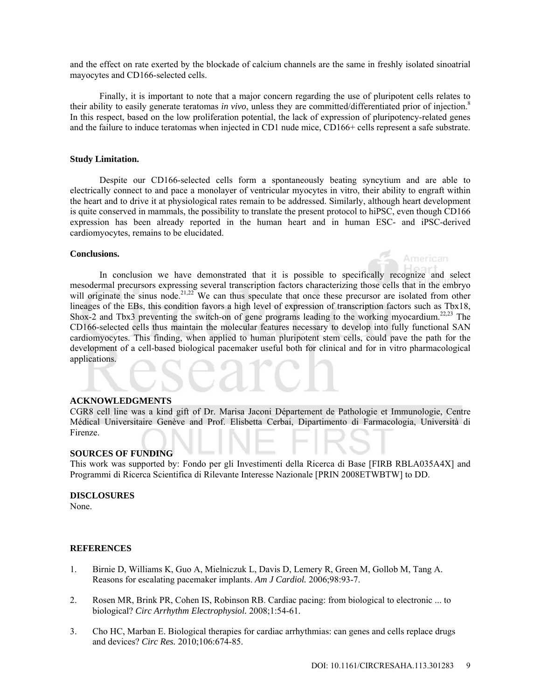and the effect on rate exerted by the blockade of calcium channels are the same in freshly isolated sinoatrial mayocytes and CD166-selected cells.

Finally, it is important to note that a major concern regarding the use of pluripotent cells relates to their ability to easily generate teratomas *in vivo*, unless they are committed/differentiated prior of injection.8 In this respect, based on the low proliferation potential, the lack of expression of pluripotency-related genes and the failure to induce teratomas when injected in CD1 nude mice, CD166+ cells represent a safe substrate.

## **Study Limitation.**

Despite our CD166-selected cells form a spontaneously beating syncytium and are able to electrically connect to and pace a monolayer of ventricular myocytes in vitro, their ability to engraft within the heart and to drive it at physiological rates remain to be addressed. Similarly, although heart development is quite conserved in mammals, the possibility to translate the present protocol to hiPSC, even though CD166 expression has been already reported in the human heart and in human ESC- and iPSC-derived cardiomyocytes, remains to be elucidated.

## **Conclusions.**

In conclusion we have demonstrated that it is possible to specifically recognize and select mesodermal precursors expressing several transcription factors characterizing those cells that in the embryo will originate the sinus node.<sup>21,22</sup> We can thus speculate that once these precursor are isolated from other lineages of the EBs, this condition favors a high level of expression of transcription factors such as Tbx18, Shox-2 and Tbx3 preventing the switch-on of gene programs leading to the working myocardium.<sup>22,23</sup> The CD166-selected cells thus maintain the molecular features necessary to develop into fully functional SAN cardiomyocytes. This finding, when applied to human pluripotent stem cells, could pave the path for the development of a cell-based biological pacemaker useful both for clinical and for in vitro pharmacological applications.

#### **ACKNOWLEDGMENTS**

CGR8 cell line was a kind gift of Dr. Marisa Jaconi Département de Pathologie et Immunologie, Centre Médical Universitaire Genève and Prof. Elisbetta Cerbai, Dipartimento di Farmacologia, Università di Firenze.

#### **SOURCES OF FUNDING**

This work was supported by: Fondo per gli Investimenti della Ricerca di Base [FIRB RBLA035A4X] and Programmi di Ricerca Scientifica di Rilevante Interesse Nazionale [PRIN 2008ETWBTW] to DD.

#### **DISCLOSURES**

None.

#### **REFERENCES**

- 1. Birnie D, Williams K, Guo A, Mielniczuk L, Davis D, Lemery R, Green M, Gollob M, Tang A. Reasons for escalating pacemaker implants. *Am J Cardiol.* 2006;98:93-7.
- 2. Rosen MR, Brink PR, Cohen IS, Robinson RB. Cardiac pacing: from biological to electronic ... to biological? *Circ Arrhythm Electrophysiol.* 2008;1:54-61.
- 3. Cho HC, Marban E. Biological therapies for cardiac arrhythmias: can genes and cells replace drugs and devices? *Circ Res.* 2010;106:674-85.

American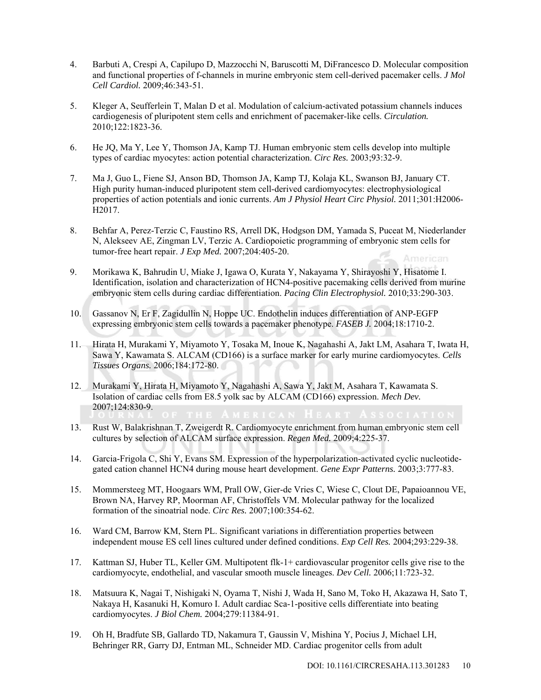- 4. Barbuti A, Crespi A, Capilupo D, Mazzocchi N, Baruscotti M, DiFrancesco D. Molecular composition and functional properties of f-channels in murine embryonic stem cell-derived pacemaker cells. *J Mol Cell Cardiol.* 2009;46:343-51.
- 5. Kleger A, Seufferlein T, Malan D et al. Modulation of calcium-activated potassium channels induces cardiogenesis of pluripotent stem cells and enrichment of pacemaker-like cells. *Circulation.* 2010;122:1823-36.
- 6. He JQ, Ma Y, Lee Y, Thomson JA, Kamp TJ. Human embryonic stem cells develop into multiple types of cardiac myocytes: action potential characterization. *Circ Res.* 2003;93:32-9.
- 7. Ma J, Guo L, Fiene SJ, Anson BD, Thomson JA, Kamp TJ, Kolaja KL, Swanson BJ, January CT. High purity human-induced pluripotent stem cell-derived cardiomyocytes: electrophysiological properties of action potentials and ionic currents. *Am J Physiol Heart Circ Physiol.* 2011;301:H2006- H2017.
- 8. Behfar A, Perez-Terzic C, Faustino RS, Arrell DK, Hodgson DM, Yamada S, Puceat M, Niederlander N, Alekseev AE, Zingman LV, Terzic A. Cardiopoietic programming of embryonic stem cells for tumor-free heart repair. *J Exp Med.* 2007;204:405-20. American
- 9. Morikawa K, Bahrudin U, Miake J, Igawa O, Kurata Y, Nakayama Y, Shirayoshi Y, Hisatome I. Identification, isolation and characterization of HCN4-positive pacemaking cells derived from murine embryonic stem cells during cardiac differentiation. *Pacing Clin Electrophysiol.* 2010;33:290-303.
- 10. Gassanov N, Er F, Zagidullin N, Hoppe UC. Endothelin induces differentiation of ANP-EGFP expressing embryonic stem cells towards a pacemaker phenotype. *FASEB J.* 2004;18:1710-2.
- 11. Hirata H, Murakami Y, Miyamoto Y, Tosaka M, Inoue K, Nagahashi A, Jakt LM, Asahara T, Iwata H, Sawa Y, Kawamata S. ALCAM (CD166) is a surface marker for early murine cardiomyocytes. *Cells Tissues Organs.* 2006;184:172-80.
- 12. Murakami Y, Hirata H, Miyamoto Y, Nagahashi A, Sawa Y, Jakt M, Asahara T, Kawamata S. Isolation of cardiac cells from E8.5 yolk sac by ALCAM (CD166) expression. *Mech Dev.* 2007;124:830-9.
- 13. Rust W, Balakrishnan T, Zweigerdt R. Cardiomyocyte enrichment from human embryonic stem cell cultures by selection of ALCAM surface expression. *Regen Med.* 2009;4:225-37.
- 14. Garcia-Frigola C, Shi Y, Evans SM. Expression of the hyperpolarization-activated cyclic nucleotidegated cation channel HCN4 during mouse heart development. *Gene Expr Patterns.* 2003;3:777-83.
- 15. Mommersteeg MT, Hoogaars WM, Prall OW, Gier-de Vries C, Wiese C, Clout DE, Papaioannou VE, Brown NA, Harvey RP, Moorman AF, Christoffels VM. Molecular pathway for the localized formation of the sinoatrial node. *Circ Res.* 2007;100:354-62.
- 16. Ward CM, Barrow KM, Stern PL. Significant variations in differentiation properties between independent mouse ES cell lines cultured under defined conditions. *Exp Cell Res.* 2004;293:229-38.
- 17. Kattman SJ, Huber TL, Keller GM. Multipotent flk-1+ cardiovascular progenitor cells give rise to the cardiomyocyte, endothelial, and vascular smooth muscle lineages. *Dev Cell.* 2006;11:723-32.
- 18. Matsuura K, Nagai T, Nishigaki N, Oyama T, Nishi J, Wada H, Sano M, Toko H, Akazawa H, Sato T, Nakaya H, Kasanuki H, Komuro I. Adult cardiac Sca-1-positive cells differentiate into beating cardiomyocytes. *J Biol Chem.* 2004;279:11384-91.
- 19. Oh H, Bradfute SB, Gallardo TD, Nakamura T, Gaussin V, Mishina Y, Pocius J, Michael LH, Behringer RR, Garry DJ, Entman ML, Schneider MD. Cardiac progenitor cells from adult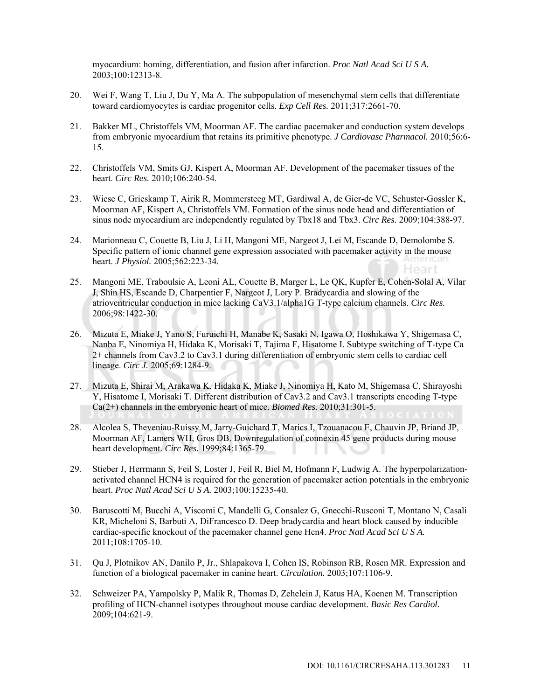myocardium: homing, differentiation, and fusion after infarction. *Proc Natl Acad Sci U S A.* 2003;100:12313-8.

- 20. Wei F, Wang T, Liu J, Du Y, Ma A. The subpopulation of mesenchymal stem cells that differentiate toward cardiomyocytes is cardiac progenitor cells. *Exp Cell Res.* 2011;317:2661-70.
- 21. Bakker ML, Christoffels VM, Moorman AF. The cardiac pacemaker and conduction system develops from embryonic myocardium that retains its primitive phenotype. *J Cardiovasc Pharmacol.* 2010;56:6- 15.
- 22. Christoffels VM, Smits GJ, Kispert A, Moorman AF. Development of the pacemaker tissues of the heart. *Circ Res.* 2010;106:240-54.
- 23. Wiese C, Grieskamp T, Airik R, Mommersteeg MT, Gardiwal A, de Gier-de VC, Schuster-Gossler K, Moorman AF, Kispert A, Christoffels VM. Formation of the sinus node head and differentiation of sinus node myocardium are independently regulated by Tbx18 and Tbx3. *Circ Res.* 2009;104:388-97.
- 24. Marionneau C, Couette B, Liu J, Li H, Mangoni ME, Nargeot J, Lei M, Escande D, Demolombe S. Specific pattern of ionic channel gene expression associated with pacemaker activity in the mouse heart. *J Physiol.* 2005;562:223-34. Heart
- 25. Mangoni ME, Traboulsie A, Leoni AL, Couette B, Marger L, Le QK, Kupfer E, Cohen-Solal A, Vilar J, Shin HS, Escande D, Charpentier F, Nargeot J, Lory P. Bradycardia and slowing of the atrioventricular conduction in mice lacking CaV3.1/alpha1G T-type calcium channels. *Circ Res.* 2006;98:1422-30.
- 26. Mizuta E, Miake J, Yano S, Furuichi H, Manabe K, Sasaki N, Igawa O, Hoshikawa Y, Shigemasa C, Nanba E, Ninomiya H, Hidaka K, Morisaki T, Tajima F, Hisatome I. Subtype switching of T-type Ca 2+ channels from Cav3.2 to Cav3.1 during differentiation of embryonic stem cells to cardiac cell lineage. *Circ J.* 2005;69:1284-9.
- 27. Mizuta E, Shirai M, Arakawa K, Hidaka K, Miake J, Ninomiya H, Kato M, Shigemasa C, Shirayoshi Y, Hisatome I, Morisaki T. Different distribution of Cav3.2 and Cav3.1 transcripts encoding T-type Ca(2+) channels in the embryonic heart of mice. *Biomed Res.* 2010;31:301-5.
- 28. Alcolea S, Theveniau-Ruissy M, Jarry-Guichard T, Marics I, Tzouanacou E, Chauvin JP, Briand JP, Moorman AF, Lamers WH, Gros DB. Downregulation of connexin 45 gene products during mouse heart development. *Circ Res.* 1999;84:1365-79.
- 29. Stieber J, Herrmann S, Feil S, Loster J, Feil R, Biel M, Hofmann F, Ludwig A. The hyperpolarizationactivated channel HCN4 is required for the generation of pacemaker action potentials in the embryonic heart. *Proc Natl Acad Sci U S A.* 2003;100:15235-40.
- 30. Baruscotti M, Bucchi A, Viscomi C, Mandelli G, Consalez G, Gnecchi-Rusconi T, Montano N, Casali KR, Micheloni S, Barbuti A, DiFrancesco D. Deep bradycardia and heart block caused by inducible cardiac-specific knockout of the pacemaker channel gene Hcn4. *Proc Natl Acad Sci U S A.* 2011;108:1705-10.
- 31. Qu J, Plotnikov AN, Danilo P, Jr., Shlapakova I, Cohen IS, Robinson RB, Rosen MR. Expression and function of a biological pacemaker in canine heart. *Circulation.* 2003;107:1106-9.
- 32. Schweizer PA, Yampolsky P, Malik R, Thomas D, Zehelein J, Katus HA, Koenen M. Transcription profiling of HCN-channel isotypes throughout mouse cardiac development. *Basic Res Cardiol.* 2009;104:621-9.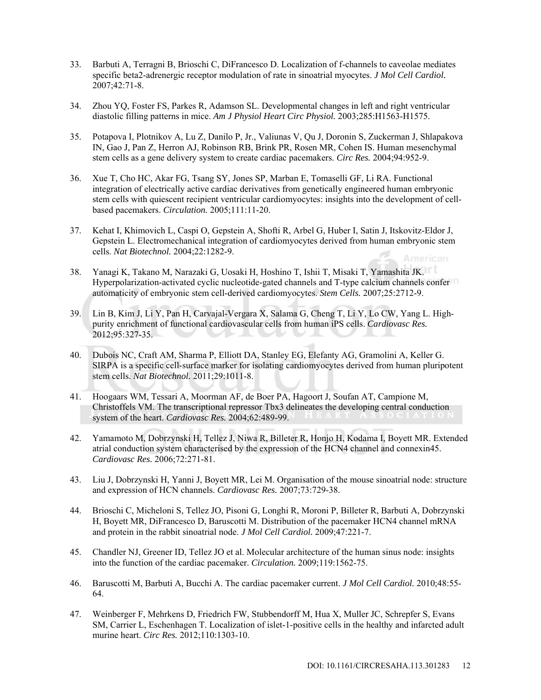- 33. Barbuti A, Terragni B, Brioschi C, DiFrancesco D. Localization of f-channels to caveolae mediates specific beta2-adrenergic receptor modulation of rate in sinoatrial myocytes. *J Mol Cell Cardiol.* 2007;42:71-8.
- 34. Zhou YQ, Foster FS, Parkes R, Adamson SL. Developmental changes in left and right ventricular diastolic filling patterns in mice. *Am J Physiol Heart Circ Physiol.* 2003;285:H1563-H1575.
- 35. Potapova I, Plotnikov A, Lu Z, Danilo P, Jr., Valiunas V, Qu J, Doronin S, Zuckerman J, Shlapakova IN, Gao J, Pan Z, Herron AJ, Robinson RB, Brink PR, Rosen MR, Cohen IS. Human mesenchymal stem cells as a gene delivery system to create cardiac pacemakers. *Circ Res.* 2004;94:952-9.
- 36. Xue T, Cho HC, Akar FG, Tsang SY, Jones SP, Marban E, Tomaselli GF, Li RA. Functional integration of electrically active cardiac derivatives from genetically engineered human embryonic stem cells with quiescent recipient ventricular cardiomyocytes: insights into the development of cellbased pacemakers. *Circulation.* 2005;111:11-20.
- 37. Kehat I, Khimovich L, Caspi O, Gepstein A, Shofti R, Arbel G, Huber I, Satin J, Itskovitz-Eldor J, Gepstein L. Electromechanical integration of cardiomyocytes derived from human embryonic stem cells. *Nat Biotechnol.* 2004;22:1282-9. American
- 38. Yanagi K, Takano M, Narazaki G, Uosaki H, Hoshino T, Ishii T, Misaki T, Yamashita JK. Hyperpolarization-activated cyclic nucleotide-gated channels and T-type calcium channels confer automaticity of embryonic stem cell-derived cardiomyocytes. *Stem Cells.* 2007;25:2712-9.
- 39. Lin B, Kim J, Li Y, Pan H, Carvajal-Vergara X, Salama G, Cheng T, Li Y, Lo CW, Yang L. Highpurity enrichment of functional cardiovascular cells from human iPS cells. *Cardiovasc Res.* 2012;95:327-35.
- 40. Dubois NC, Craft AM, Sharma P, Elliott DA, Stanley EG, Elefanty AG, Gramolini A, Keller G. SIRPA is a specific cell-surface marker for isolating cardiomyocytes derived from human pluripotent stem cells. *Nat Biotechnol.* 2011;29:1011-8.
- 41. Hoogaars WM, Tessari A, Moorman AF, de Boer PA, Hagoort J, Soufan AT, Campione M, Christoffels VM. The transcriptional repressor Tbx3 delineates the developing central conduction system of the heart. *Cardiovasc Res.* 2004;62:489-99.
- 42. Yamamoto M, Dobrzynski H, Tellez J, Niwa R, Billeter R, Honjo H, Kodama I, Boyett MR. Extended atrial conduction system characterised by the expression of the HCN4 channel and connexin45. *Cardiovasc Res.* 2006;72:271-81.
- 43. Liu J, Dobrzynski H, Yanni J, Boyett MR, Lei M. Organisation of the mouse sinoatrial node: structure and expression of HCN channels. *Cardiovasc Res.* 2007;73:729-38.
- 44. Brioschi C, Micheloni S, Tellez JO, Pisoni G, Longhi R, Moroni P, Billeter R, Barbuti A, Dobrzynski H, Boyett MR, DiFrancesco D, Baruscotti M. Distribution of the pacemaker HCN4 channel mRNA and protein in the rabbit sinoatrial node. *J Mol Cell Cardiol.* 2009;47:221-7.
- 45. Chandler NJ, Greener ID, Tellez JO et al. Molecular architecture of the human sinus node: insights into the function of the cardiac pacemaker. *Circulation.* 2009;119:1562-75.
- 46. Baruscotti M, Barbuti A, Bucchi A. The cardiac pacemaker current. *J Mol Cell Cardiol.* 2010;48:55- 64.
- 47. Weinberger F, Mehrkens D, Friedrich FW, Stubbendorff M, Hua X, Muller JC, Schrepfer S, Evans SM, Carrier L, Eschenhagen T. Localization of islet-1-positive cells in the healthy and infarcted adult murine heart. *Circ Res.* 2012;110:1303-10.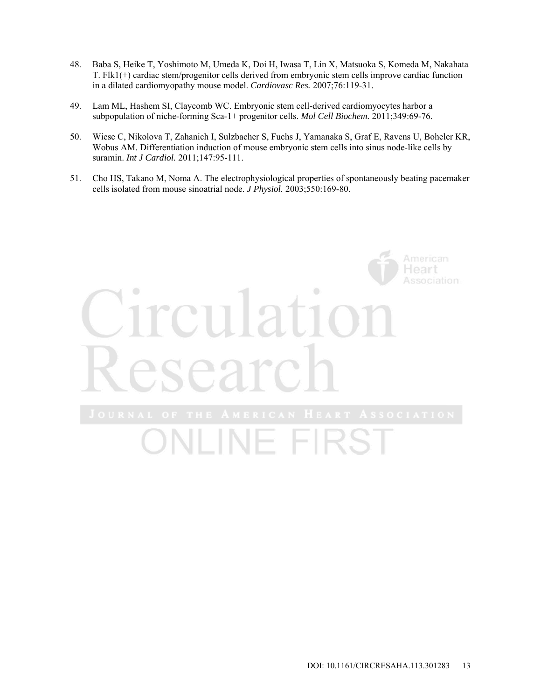- 48. Baba S, Heike T, Yoshimoto M, Umeda K, Doi H, Iwasa T, Lin X, Matsuoka S, Komeda M, Nakahata T. Flk1(+) cardiac stem/progenitor cells derived from embryonic stem cells improve cardiac function in a dilated cardiomyopathy mouse model. *Cardiovasc Res.* 2007;76:119-31.
- 49. Lam ML, Hashem SI, Claycomb WC. Embryonic stem cell-derived cardiomyocytes harbor a subpopulation of niche-forming Sca-1+ progenitor cells. *Mol Cell Biochem.* 2011;349:69-76.
- 50. Wiese C, Nikolova T, Zahanich I, Sulzbacher S, Fuchs J, Yamanaka S, Graf E, Ravens U, Boheler KR, Wobus AM. Differentiation induction of mouse embryonic stem cells into sinus node-like cells by suramin. *Int J Cardiol.* 2011;147:95-111.
- 51. Cho HS, Takano M, Noma A. The electrophysiological properties of spontaneously beating pacemaker cells isolated from mouse sinoatrial node. *J Physiol.* 2003;550:169-80.

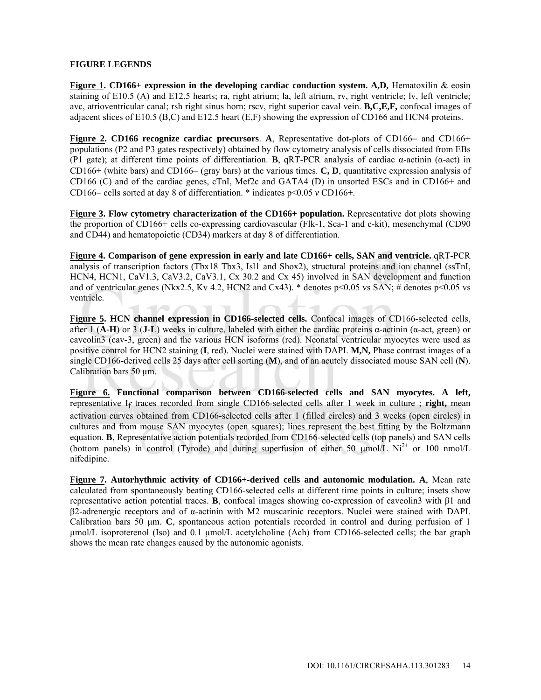# **FIGURE LEGENDS**

**Figure 1. CD166+ expression in the developing cardiac conduction system. A,D,** Hematoxilin & eosin staining of E10.5 (A) and E12.5 hearts; ra, right atrium; la, left atrium, rv, right ventricle; lv, left ventricle; avc, atrioventricular canal; rsh right sinus horn; rscv, right superior caval vein. **B,C,E,F,** confocal images of adjacent slices of E10.5 (B,C) and E12.5 heart (E,F) showing the expression of CD166 and HCN4 proteins.

**Figure 2. CD166 recognize cardiac precursors. A, Representative dot-plots of CD166– and CD166+** populations (P2 and P3 gates respectively) obtained by flow cytometry analysis of cells dissociated from EBs (P1 gate); at different time points of differentiation. **B**, qRT-PCR analysis of cardiac α-actinin (α-act) in CD166+ (white bars) and CD166 (gray bars) at the various times. **C, D**, quantitative expression analysis of CD166 (C) and of the cardiac genes, cTnI, Mef2c and GATA4 (D) in unsorted ESCs and in CD166+ and CD166– cells sorted at day 8 of differentiation.  $*$  indicates  $p<0.05$  *v* CD166+.

**Figure 3. Flow cytometry characterization of the CD166+ population.** Representative dot plots showing the proportion of CD166+ cells co-expressing cardiovascular (Flk-1, Sca-1 and c-kit), mesenchymal (CD90 and CD44) and hematopoietic (CD34) markers at day 8 of differentiation.

**Figure 4. Comparison of gene expression in early and late CD166+ cells, SAN and ventricle.** qRT-PCR analysis of transcription factors (Tbx18 Tbx3, Isl1 and Shox2), structural proteins and ion channel (ssTnI, HCN4, HCN1, CaV1.3, CaV3.2, CaV3.1, Cx 30.2 and Cx 45) involved in SAN development and function and of ventricular genes (Nkx2.5, Kv 4.2, HCN2 and Cx43).  $*$  denotes p<0.05 vs SAN;  $\#$  denotes p<0.05 vs ventricle.

**Figure 5. HCN channel expression in CD166-selected cells.** Confocal images of CD166-selected cells, after 1 (**A-H**) or 3 (**J-L**) weeks in culture, labeled with either the cardiac proteins  $\alpha$ -actinin ( $\alpha$ -act, green) or caveolin3 (cav-3, green) and the various HCN isoforms (red). Neonatal ventricular myocytes were used as positive control for HCN2 staining (**I**, red). Nuclei were stained with DAPI. **M,N,** Phase contrast images of a single CD166-derived cells 25 days after cell sorting (**M**), and of an acutely dissociated mouse SAN cell (**N**). Calibration bars 50 μm.

**Figure 6. Functional comparison between CD166-selected cells and SAN myocytes. A left,**  representative If traces recorded from single CD166-selected cells after 1 week in culture ; **right,** mean activation curves obtained from CD166-selected cells after 1 (filled circles) and 3 weeks (open circles) in cultures and from mouse SAN myocytes (open squares); lines represent the best fitting by the Boltzmann equation. **B**, Representative action potentials recorded from CD166-selected cells (top panels) and SAN cells (bottom panels) in control (Tyrode) and during superfusion of either 50  $\mu$ mol/L Ni<sup>2+</sup> or 100 nmol/L nifedipine.

**Figure 7. Autorhythmic activity of CD166+-derived cells and autonomic modulation. A**, Mean rate calculated from spontaneously beating CD166-selected cells at different time points in culture; insets show representative action potential traces. **B**, confocal images showing co-expression of caveolin3 with β1 and β2-adrenergic receptors and of α-actinin with M2 muscarinic receptors. Nuclei were stained with DAPI. Calibration bars 50 μm. **C**, spontaneous action potentials recorded in control and during perfusion of 1 μmol/L isoproterenol (Iso) and 0.1 μmol/L acetylcholine (Ach) from CD166-selected cells; the bar graph shows the mean rate changes caused by the autonomic agonists.